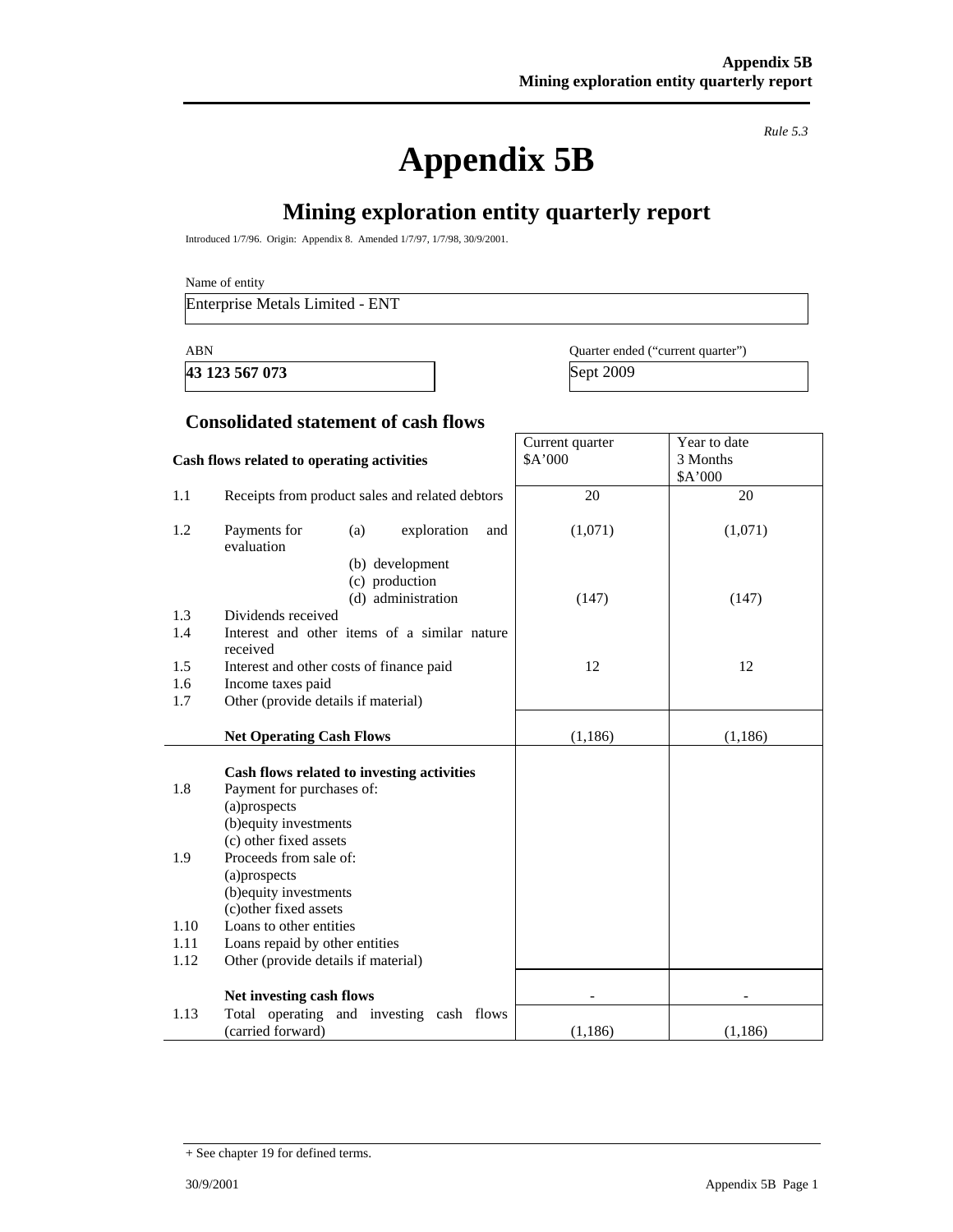**Appendix 5B** 

*Rule 5.3* 

# **Mining exploration entity quarterly report**

Introduced 1/7/96. Origin: Appendix 8. Amended 1/7/97, 1/7/98, 30/9/2001.

Name of entity

Enterprise Metals Limited - ENT

**43 123 567 073** Sept 2009

ABN Quarter ended ("current quarter")

Year to date 3 Months

Current quarter \$A'000

#### **Consolidated statement of cash flows**

#### **Cash flows related to operating activities**

|      |                                                         |          | \$A'000  |
|------|---------------------------------------------------------|----------|----------|
| 1.1  | Receipts from product sales and related debtors         | 20       | 20       |
| 1.2  | Payments for<br>exploration<br>(a)<br>and<br>evaluation | (1,071)  | (1,071)  |
|      | (b) development                                         |          |          |
|      | (c) production                                          |          |          |
| 1.3  | (d) administration<br>Dividends received                | (147)    | (147)    |
| 1.4  | Interest and other items of a similar nature            |          |          |
|      | received                                                |          |          |
| 1.5  | Interest and other costs of finance paid                | 12       | 12       |
| 1.6  | Income taxes paid                                       |          |          |
| 1.7  | Other (provide details if material)                     |          |          |
|      | <b>Net Operating Cash Flows</b>                         | (1, 186) | (1, 186) |
|      |                                                         |          |          |
|      | Cash flows related to investing activities              |          |          |
| 1.8  | Payment for purchases of:                               |          |          |
|      | (a)prospects                                            |          |          |
|      | (b) equity investments                                  |          |          |
|      | (c) other fixed assets                                  |          |          |
| 1.9  | Proceeds from sale of:<br>(a) prospects                 |          |          |
|      | (b) equity investments                                  |          |          |
|      | (c) other fixed assets                                  |          |          |
| 1.10 | Loans to other entities                                 |          |          |
| 1.11 | Loans repaid by other entities                          |          |          |
| 1.12 | Other (provide details if material)                     |          |          |
|      | Net investing cash flows                                |          |          |
| 1.13 | Total operating and investing cash flows                |          |          |
|      | (carried forward)                                       | (1, 186) | (1,186)  |

<sup>+</sup> See chapter 19 for defined terms.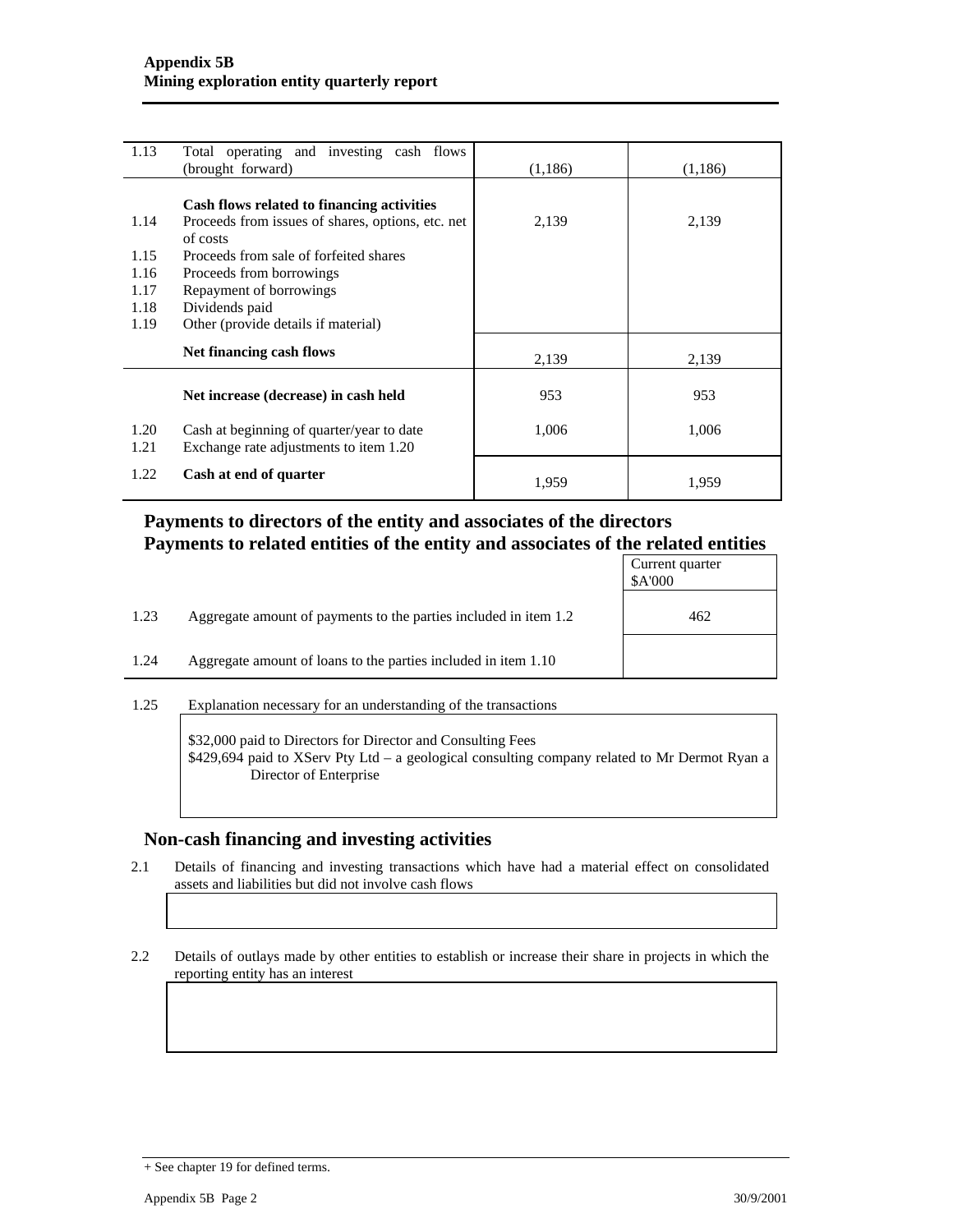| 1.13         | Total operating and investing cash flows<br>(brought forward)                                               | (1,186) | (1,186) |
|--------------|-------------------------------------------------------------------------------------------------------------|---------|---------|
|              |                                                                                                             |         |         |
| 1.14         | Cash flows related to financing activities<br>Proceeds from issues of shares, options, etc. net<br>of costs | 2,139   | 2,139   |
| 1.15         | Proceeds from sale of forfeited shares                                                                      |         |         |
| 1.16         | Proceeds from borrowings                                                                                    |         |         |
| 1.17         | Repayment of borrowings                                                                                     |         |         |
| 1.18         | Dividends paid                                                                                              |         |         |
| 1.19         | Other (provide details if material)                                                                         |         |         |
|              | Net financing cash flows                                                                                    | 2,139   | 2,139   |
|              | Net increase (decrease) in cash held                                                                        | 953     | 953     |
| 1.20<br>1.21 | Cash at beginning of quarter/year to date<br>Exchange rate adjustments to item 1.20                         | 1,006   | 1,006   |
| 1.22         | Cash at end of quarter                                                                                      | 1,959   | 1,959   |

### **Payments to directors of the entity and associates of the directors Payments to related entities of the entity and associates of the related entities**

|      |                                                                  | Current quarter<br>\$A'000 |
|------|------------------------------------------------------------------|----------------------------|
| 1.23 | Aggregate amount of payments to the parties included in item 1.2 | 462                        |
| 1.24 | Aggregate amount of loans to the parties included in item 1.10   |                            |

1.25 Explanation necessary for an understanding of the transactions

\$32,000 paid to Directors for Director and Consulting Fees \$429,694 paid to XServ Pty Ltd – a geological consulting company related to Mr Dermot Ryan a Director of Enterprise

#### **Non-cash financing and investing activities**

2.1 Details of financing and investing transactions which have had a material effect on consolidated assets and liabilities but did not involve cash flows

2.2 Details of outlays made by other entities to establish or increase their share in projects in which the reporting entity has an interest

<sup>+</sup> See chapter 19 for defined terms.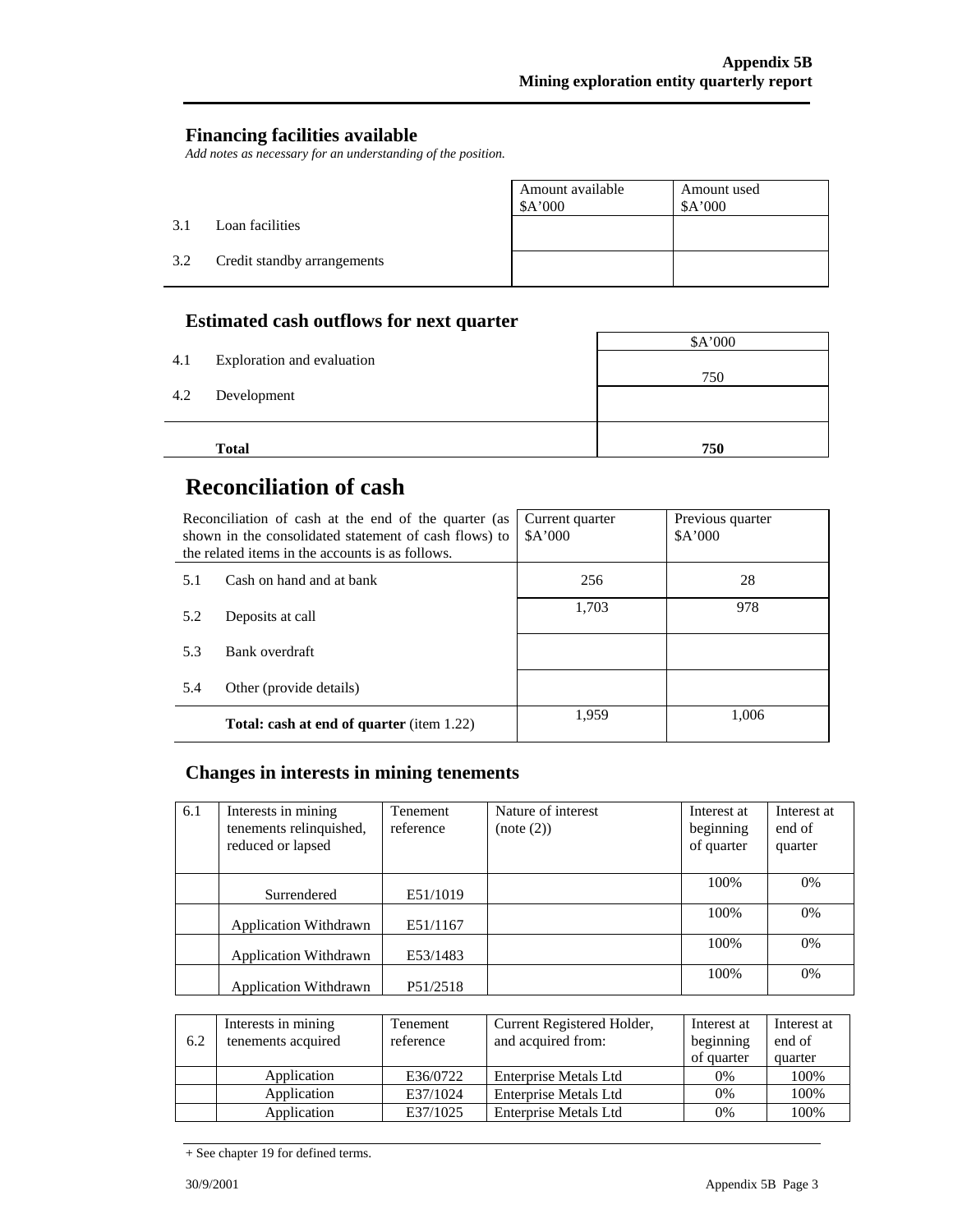### **Financing facilities available**

*Add notes as necessary for an understanding of the position.* 

|     |                             | Amount available<br>\$A'000 | Amount used<br>\$A'000 |
|-----|-----------------------------|-----------------------------|------------------------|
| 3.1 | Loan facilities             |                             |                        |
| 3.2 | Credit standby arrangements |                             |                        |

## **Estimated cash outflows for next quarter**

| 4.1 | Exploration and evaluation | \$A'000 |
|-----|----------------------------|---------|
| 4.2 | Development                | 750     |
|     | <b>Total</b>               | 750     |

# **Reconciliation of cash**

| Reconciliation of cash at the end of the quarter (as<br>shown in the consolidated statement of cash flows) to<br>the related items in the accounts is as follows. |                                                  | Current quarter<br>A'000 | Previous quarter<br>A'000 |
|-------------------------------------------------------------------------------------------------------------------------------------------------------------------|--------------------------------------------------|--------------------------|---------------------------|
| 5.1                                                                                                                                                               | Cash on hand and at bank                         | 256                      | 28                        |
| 5.2                                                                                                                                                               | Deposits at call                                 | 1,703                    | 978                       |
| 5.3                                                                                                                                                               | Bank overdraft                                   |                          |                           |
| 5.4                                                                                                                                                               | Other (provide details)                          |                          |                           |
|                                                                                                                                                                   | <b>Total: cash at end of quarter</b> (item 1.22) | 1.959                    | 1,006                     |

## **Changes in interests in mining tenements**

| 6.1 | Interests in mining<br>tenements relinquished,<br>reduced or lapsed | <b>Tenement</b><br>reference | Nature of interest<br>(note (2)) | Interest at<br>beginning<br>of quarter | Interest at<br>end of<br>quarter |
|-----|---------------------------------------------------------------------|------------------------------|----------------------------------|----------------------------------------|----------------------------------|
|     | Surrendered                                                         | E51/1019                     |                                  | 100%                                   | 0%                               |
|     | <b>Application Withdrawn</b>                                        | E51/1167                     |                                  | 100%                                   | 0%                               |
|     | <b>Application Withdrawn</b>                                        | E53/1483                     |                                  | 100%                                   | 0%                               |
|     | <b>Application Withdrawn</b>                                        | P51/2518                     |                                  | 100%                                   | 0%                               |

| 6.2 | Interests in mining<br>tenements acquired | Tenement<br>reference | Current Registered Holder,<br>and acquired from: | Interest at<br>beginning<br>of quarter | Interest at<br>end of<br>quarter |
|-----|-------------------------------------------|-----------------------|--------------------------------------------------|----------------------------------------|----------------------------------|
|     | Application                               | E36/0722              | Enterprise Metals Ltd                            | 0%                                     | 100%                             |
|     | Application                               | E37/1024              | Enterprise Metals Ltd                            | 0%                                     | 100%                             |
|     | Application                               | E37/1025              | Enterprise Metals Ltd                            | 0%                                     | 100%                             |

<sup>+</sup> See chapter 19 for defined terms.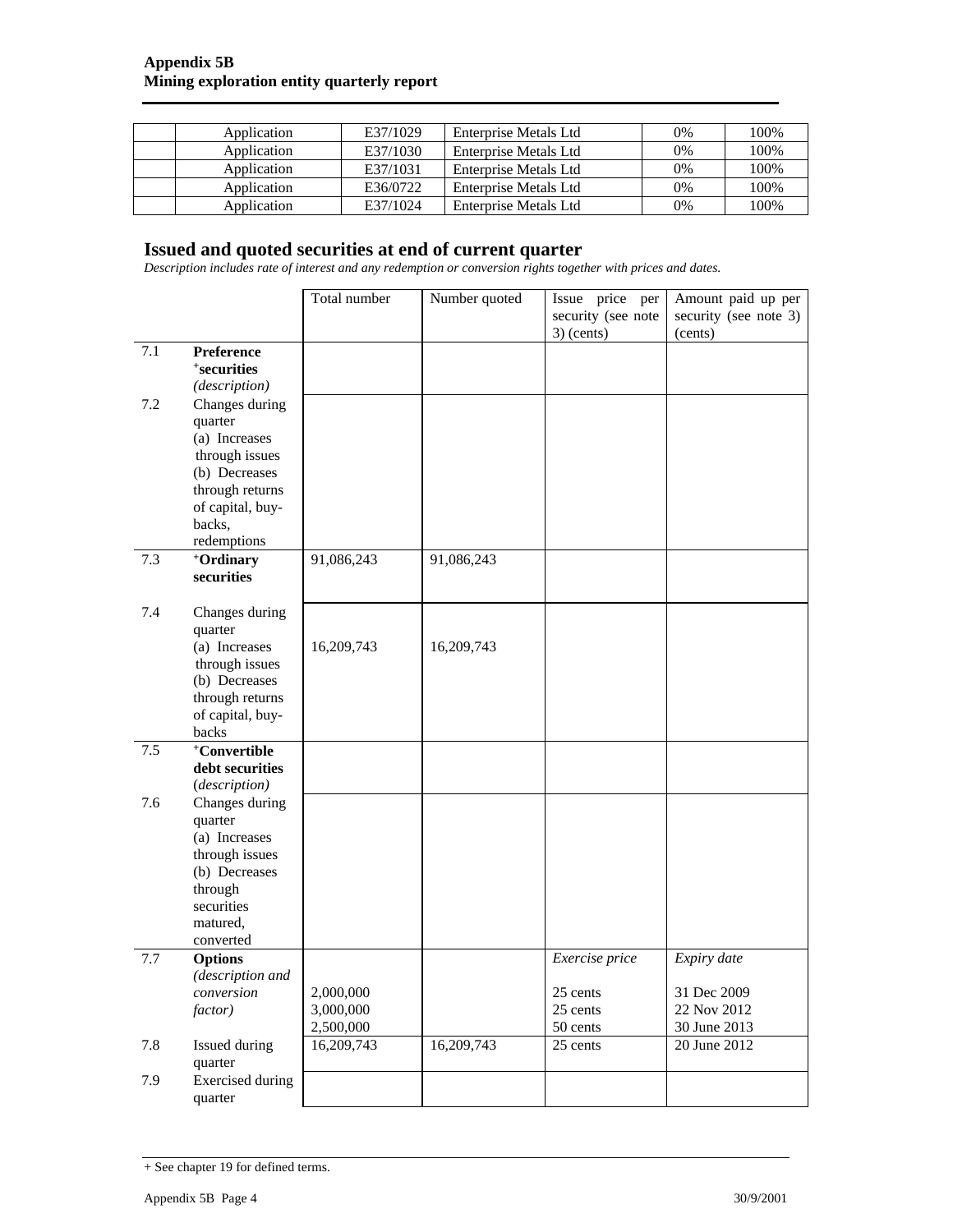| Application | E37/1029 | Enterprise Metals Ltd | 0%    | 100% |
|-------------|----------|-----------------------|-------|------|
| Application | E37/1030 | Enterprise Metals Ltd | 0%    | 100% |
| Application | E37/1031 | Enterprise Metals Ltd | $0\%$ | 100% |
| Application | E36/0722 | Enterprise Metals Ltd | 0%    | 100% |
| Application | E37/1024 | Enterprise Metals Ltd | 0%    | 100% |

#### **Issued and quoted securities at end of current quarter**

*Description includes rate of interest and any redemption or conversion rights together with prices and dates.* 

|     |                                    | Total number | Number quoted | Issue price per<br>security (see note<br>$3)$ (cents) | Amount paid up per<br>security (see note 3)<br>(cents) |
|-----|------------------------------------|--------------|---------------|-------------------------------------------------------|--------------------------------------------------------|
| 7.1 | <b>Preference</b>                  |              |               |                                                       |                                                        |
|     | <i><b>*securities</b></i>          |              |               |                                                       |                                                        |
|     | (description)                      |              |               |                                                       |                                                        |
| 7.2 | Changes during                     |              |               |                                                       |                                                        |
|     | quarter                            |              |               |                                                       |                                                        |
|     | (a) Increases                      |              |               |                                                       |                                                        |
|     | through issues                     |              |               |                                                       |                                                        |
|     | (b) Decreases                      |              |               |                                                       |                                                        |
|     | through returns                    |              |               |                                                       |                                                        |
|     | of capital, buy-                   |              |               |                                                       |                                                        |
|     | backs,                             |              |               |                                                       |                                                        |
| 7.3 | redemptions<br>+Ordinary           |              |               |                                                       |                                                        |
|     | securities                         | 91,086,243   | 91,086,243    |                                                       |                                                        |
|     |                                    |              |               |                                                       |                                                        |
| 7.4 | Changes during                     |              |               |                                                       |                                                        |
|     | quarter                            |              |               |                                                       |                                                        |
|     | (a) Increases                      | 16,209,743   | 16,209,743    |                                                       |                                                        |
|     | through issues                     |              |               |                                                       |                                                        |
|     | (b) Decreases                      |              |               |                                                       |                                                        |
|     | through returns                    |              |               |                                                       |                                                        |
|     | of capital, buy-<br>backs          |              |               |                                                       |                                                        |
| 7.5 | <sup>+</sup> Convertible           |              |               |                                                       |                                                        |
|     | debt securities                    |              |               |                                                       |                                                        |
|     | (description)                      |              |               |                                                       |                                                        |
| 7.6 | Changes during                     |              |               |                                                       |                                                        |
|     | quarter                            |              |               |                                                       |                                                        |
|     | (a) Increases                      |              |               |                                                       |                                                        |
|     | through issues                     |              |               |                                                       |                                                        |
|     | (b) Decreases                      |              |               |                                                       |                                                        |
|     | through                            |              |               |                                                       |                                                        |
|     | securities                         |              |               |                                                       |                                                        |
|     | matured,                           |              |               |                                                       |                                                        |
|     | converted                          |              |               |                                                       |                                                        |
| 7.7 | <b>Options</b><br>(description and |              |               | Exercise price                                        | Expiry date                                            |
|     | conversion                         | 2,000,000    |               | 25 cents                                              | 31 Dec 2009                                            |
|     | factor)                            | 3,000,000    |               | 25 cents                                              | 22 Nov 2012                                            |
|     |                                    | 2,500,000    |               | 50 cents                                              | 30 June 2013                                           |
| 7.8 | Issued during                      | 16,209,743   | 16,209,743    | 25 cents                                              | 20 June 2012                                           |
|     | quarter                            |              |               |                                                       |                                                        |
| 7.9 | <b>Exercised</b> during            |              |               |                                                       |                                                        |
|     | quarter                            |              |               |                                                       |                                                        |

<sup>+</sup> See chapter 19 for defined terms.